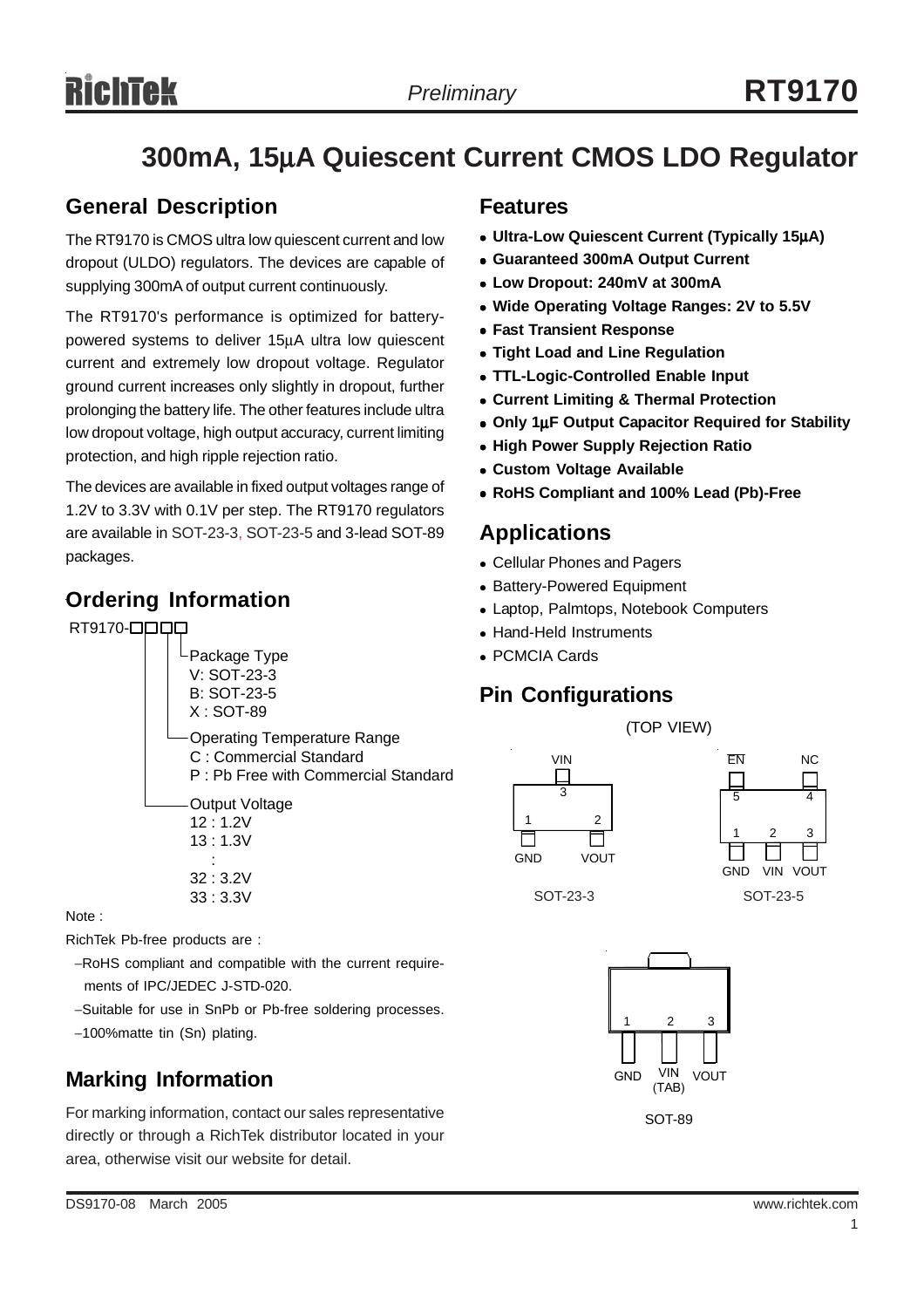## **300mA, 15**µ**A Quiescent Current CMOS LDO Regulator**

## **General Description**

The RT9170 is CMOS ultra low quiescent current and low dropout (ULDO) regulators. The devices are capable of supplying 300mA of output current continuously.

The RT9170's performance is optimized for batterypowered systems to deliver 15µA ultra low quiescent current and extremely low dropout voltage. Regulator ground current increases only slightly in dropout, further prolonging the battery life. The other features include ultra low dropout voltage, high output accuracy, current limiting protection, and high ripple rejection ratio.

The devices are available in fixed output voltages range of 1.2V to 3.3V with 0.1V per step. The RT9170 regulators are available in SOT-23-3, SOT-23-5 and 3-lead SOT-89 packages.

## **Ordering Information**

RT9170-**QQQQ** 



Note :

RichTek Pb-free products are :

- −RoHS compliant and compatible with the current require ments of IPC/JEDEC J-STD-020.
- −Suitable for use in SnPb or Pb-free soldering processes.
- −100%matte tin (Sn) plating.

## **Marking Information**

For marking information, contact our sales representative directly or through a RichTek distributor located in your area, otherwise visit our website for detail.

### **Features**

- <sup>z</sup> **Ultra-Low Quiescent Current (Typically 15**µ**A)**
- <sup>z</sup> **Guaranteed 300mA Output Current**
- <sup>z</sup> **Low Dropout: 240mV at 300mA**
- Wide Operating Voltage Ranges: 2V to 5.5V
- **Fast Transient Response**
- **Tight Load and Line Regulation**
- **TTL-Logic-Controlled Enable Input**
- **Current Limiting & Thermal Protection**
- <sup>z</sup> **Only 1**µ**F Output Capacitor Required for Stability**
- **High Power Supply Rejection Ratio**
- **Custom Voltage Available**
- <sup>z</sup> **RoHS Compliant and 100% Lead (Pb)-Free**

## **Applications**

- Cellular Phones and Pagers
- Battery-Powered Equipment
- Laptop, Palmtops, Notebook Computers
- Hand-Held Instruments
- PCMCIA Cards

## **Pin Configurations**





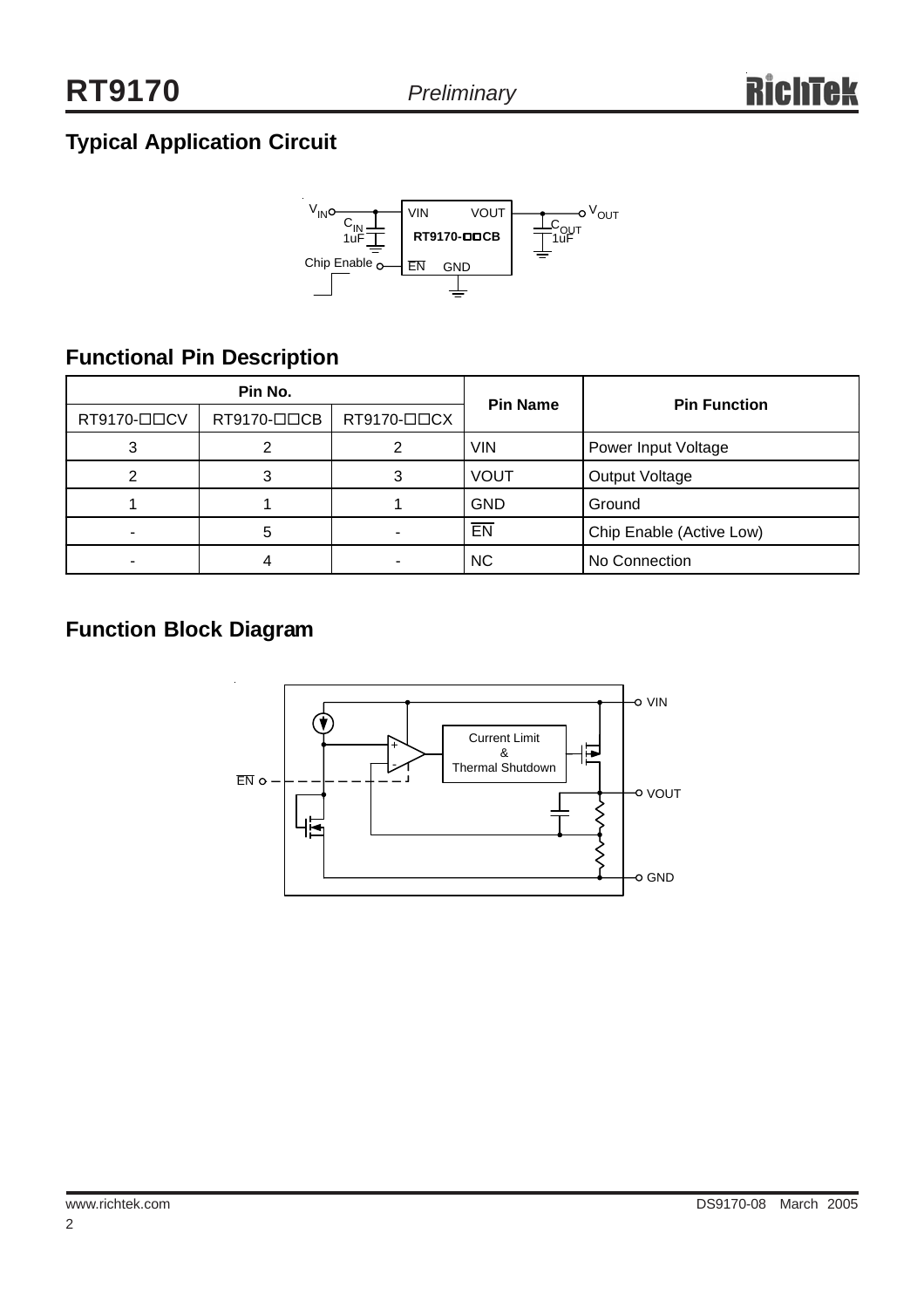## **Typical Application Circuit**



## **Functional Pin Description**

| Pin No.     |             |                         | <b>Pin Name</b> | <b>Pin Function</b>      |  |
|-------------|-------------|-------------------------|-----------------|--------------------------|--|
| RT9170-□□CV | RT9170-□□CB | $RT9170 - \square$ $CX$ |                 |                          |  |
| 3           |             |                         | <b>VIN</b>      | Power Input Voltage      |  |
|             |             |                         | <b>VOUT</b>     | Output Voltage           |  |
|             |             |                         | <b>GND</b>      | Ground                   |  |
| ۰           |             |                         | EN              | Chip Enable (Active Low) |  |
|             |             |                         | <b>NC</b>       | No Connection            |  |

## **Function Block Diagram**

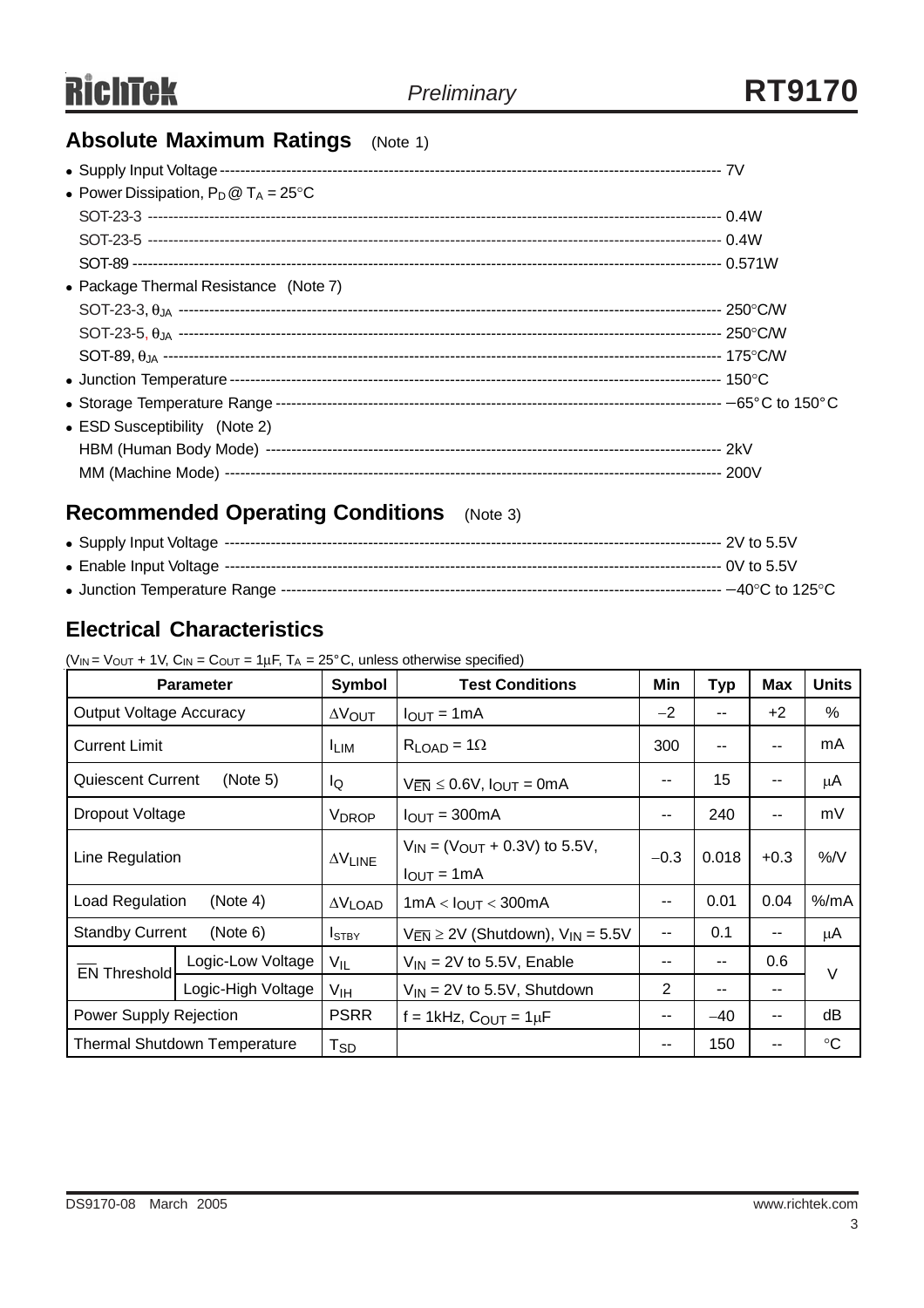## **Absolute Maximum Ratings** (Note 1)

| • Power Dissipation, $P_D @ T_A = 25^{\circ}C$ |  |
|------------------------------------------------|--|
|                                                |  |
|                                                |  |
|                                                |  |
| • Package Thermal Resistance (Note 7)          |  |
|                                                |  |
|                                                |  |
|                                                |  |
|                                                |  |
|                                                |  |
| • ESD Susceptibility (Note 2)                  |  |
|                                                |  |
|                                                |  |

## **Recommended Operating Conditions** (Note 3)

## **Electrical Characteristics**

| <b>Parameter</b>                     |                    | Symbol                  | <b>Test Conditions</b>                                                          | Min    | <b>Typ</b> | Max    | <b>Units</b>      |  |
|--------------------------------------|--------------------|-------------------------|---------------------------------------------------------------------------------|--------|------------|--------|-------------------|--|
| <b>Output Voltage Accuracy</b>       |                    | $\Delta V_{\text{OUT}}$ | $I_{OUT} = 1mA$                                                                 | $-2$   | --         | $+2$   | %                 |  |
| <b>Current Limit</b>                 |                    | <b>ILIM</b>             | $R_{LOAD} = 1\Omega$                                                            | 300    | --         | --     | mA                |  |
| <b>Quiescent Current</b><br>(Note 5) |                    | lQ                      | $V_{\overline{EN}} \leq 0.6V$ , $I_{OUT} = 0mA$                                 | --     | 15         | --     | μA                |  |
| Dropout Voltage                      |                    | <b>V<sub>DROP</sub></b> | $I_{OUT} = 300mA$                                                               | --     | 240        | --     | mV                |  |
| Line Regulation                      |                    | $\Delta V$ LINE         | $V_{IN}$ = (V <sub>OUT</sub> + 0.3V) to 5.5V,<br>$I_{\text{OUT}} = 1 \text{mA}$ | $-0.3$ | 0.018      | $+0.3$ | $%$ /V            |  |
| Load Regulation<br>(Note 4)          |                    | $\Delta V$ LOAD         | $1mA < I_{OUT} < 300mA$                                                         | --     | 0.01       | 0.04   | $%$ /mA           |  |
| <b>Standby Current</b><br>(Note 6)   |                    | $I_{STBY}$              | $V_{\overline{EN}} \ge 2V$ (Shutdown), $V_{IN} = 5.5V$                          | --     | 0.1        | --     | μA                |  |
| <b>EN Threshold</b>                  | Logic-Low Voltage  | $V_{IL}$                | $V_{IN}$ = 2V to 5.5V, Enable                                                   | --     | --         | 0.6    | V<br>--           |  |
|                                      | Logic-High Voltage | V <sub>IH</sub>         | $V_{IN}$ = 2V to 5.5V, Shutdown                                                 | 2      | --         |        |                   |  |
| Power Supply Rejection               |                    | <b>PSRR</b>             | $f = 1$ kHz, $C_{OUT} = 1 \mu F$                                                | --     | $-40$      | --     | dB                |  |
| Thermal Shutdown Temperature         |                    | $T_{SD}$                |                                                                                 |        | 150        | --     | $^\circ \text{C}$ |  |

 $(V_{IN} = V_{OUIT} + 1V, C_{IN} = C_{OUIT} = 1 \mu F, T_A = 25^{\circ}C,$  unless otherwise specified)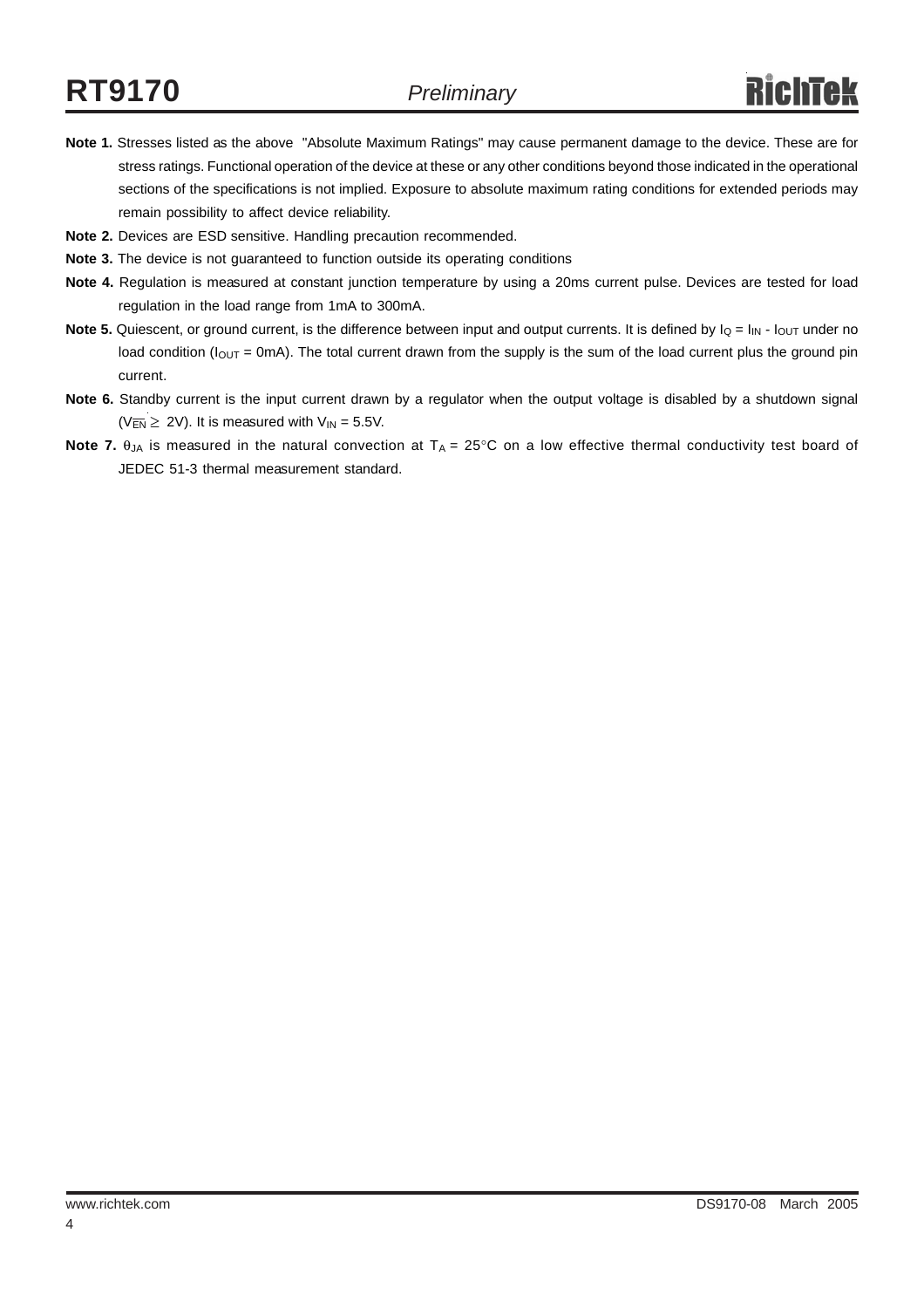- **Note 1.** Stresses listed as the above "Absolute Maximum Ratings" may cause permanent damage to the device. These are for stress ratings. Functional operation of the device at these or any other conditions beyond those indicated in the operational sections of the specifications is not implied. Exposure to absolute maximum rating conditions for extended periods may remain possibility to affect device reliability.
- **Note 2.** Devices are ESD sensitive. Handling precaution recommended.
- **Note 3.** The device is not guaranteed to function outside its operating conditions
- **Note 4.** Regulation is measured at constant junction temperature by using a 20ms current pulse. Devices are tested for load regulation in the load range from 1mA to 300mA.
- **Note 5.** Quiescent, or ground current, is the difference between input and output currents. It is defined by  $I_Q = I_{IN} I_{OUT}$  under no load condition ( $I_{\text{OUT}}$  = 0mA). The total current drawn from the supply is the sum of the load current plus the ground pin current.
- **Note 6.** Standby current is the input current drawn by a regulator when the output voltage is disabled by a shutdown signal  $(V_{\overline{EN}} \ge 2V)$ . It is measured with  $V_{IN} = 5.5V$ .
- **Note 7.** θ<sub>JA</sub> is measured in the natural convection at T<sub>A</sub> = 25°C on a low effective thermal conductivity test board of JEDEC 51-3 thermal measurement standard.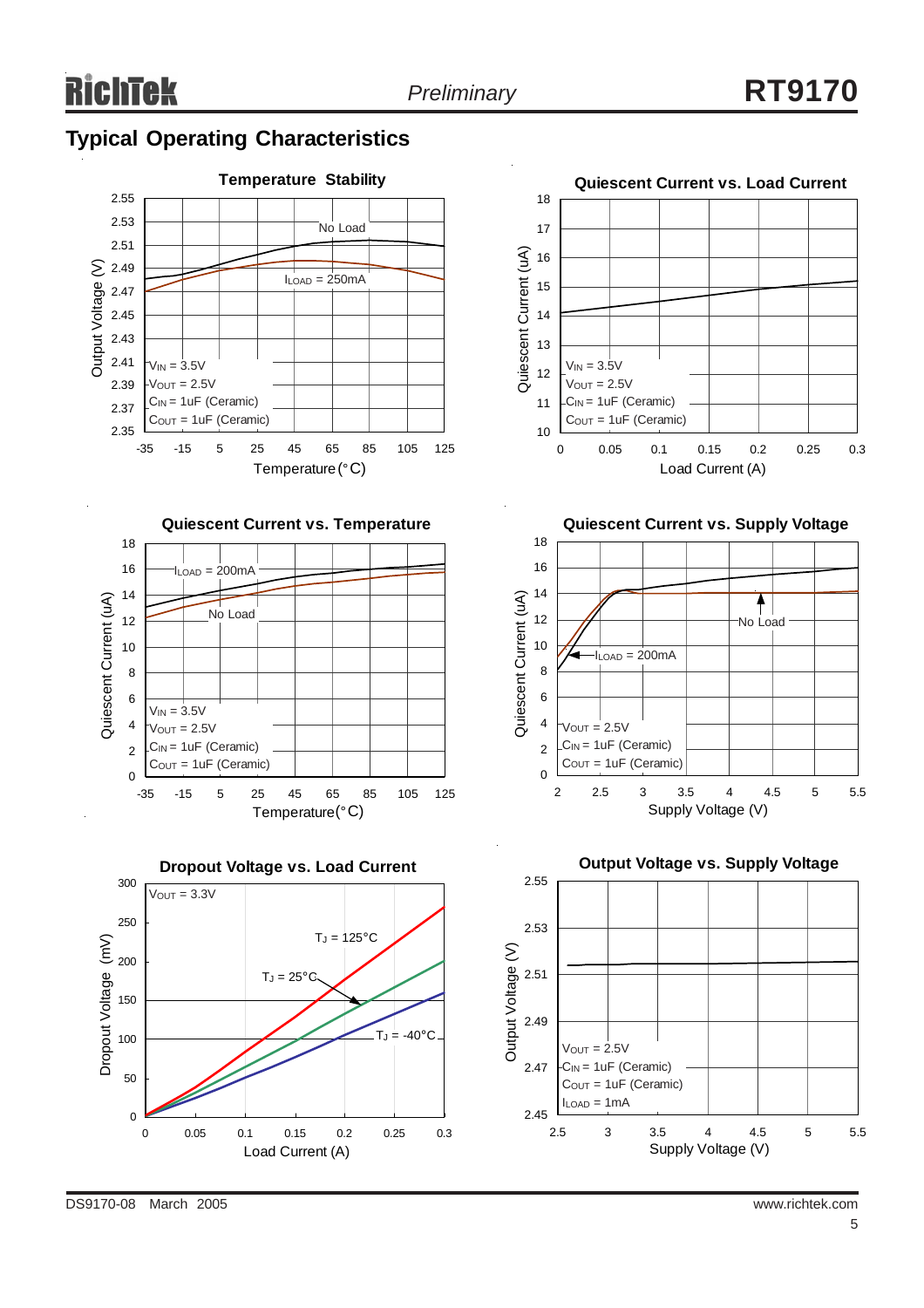

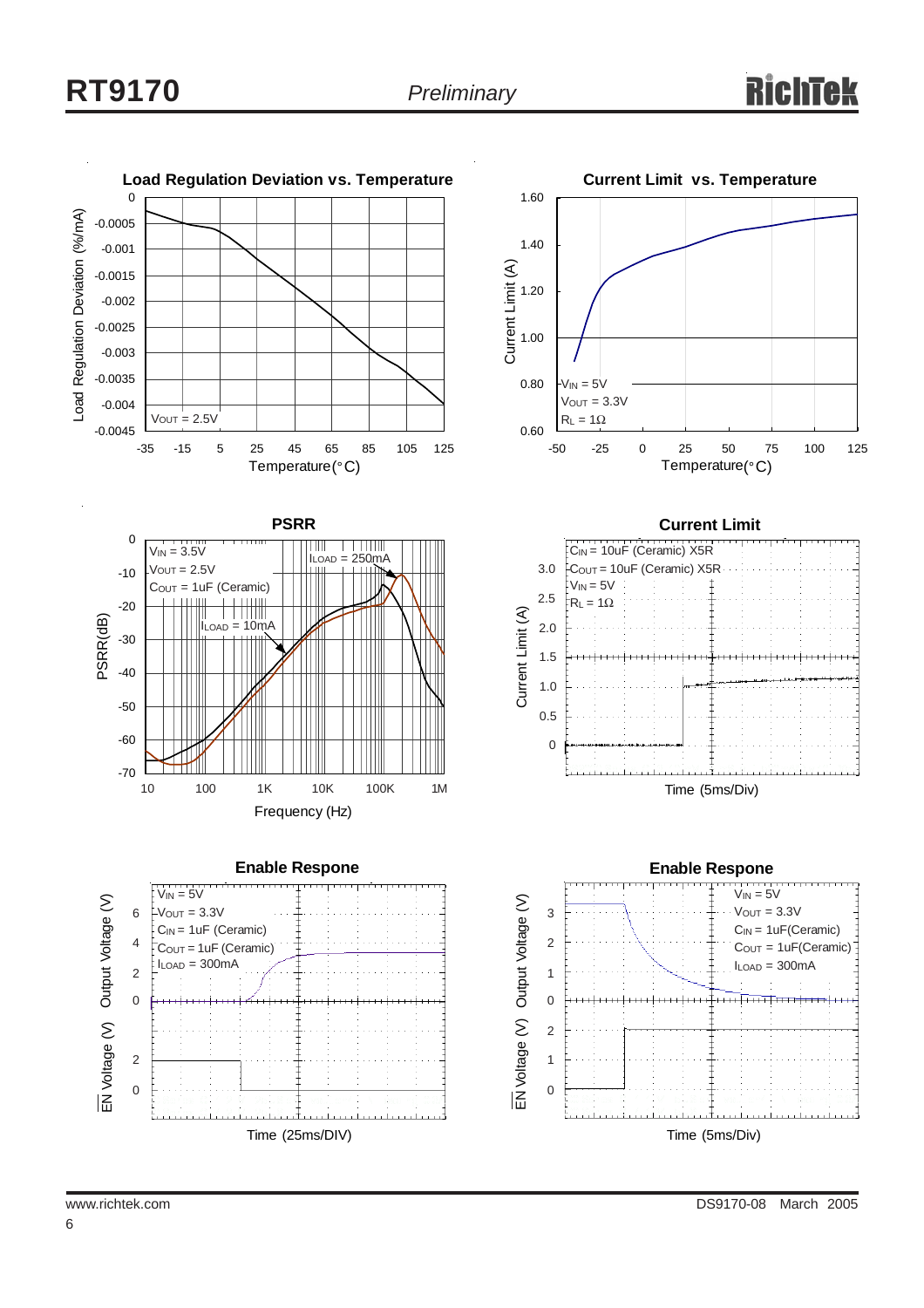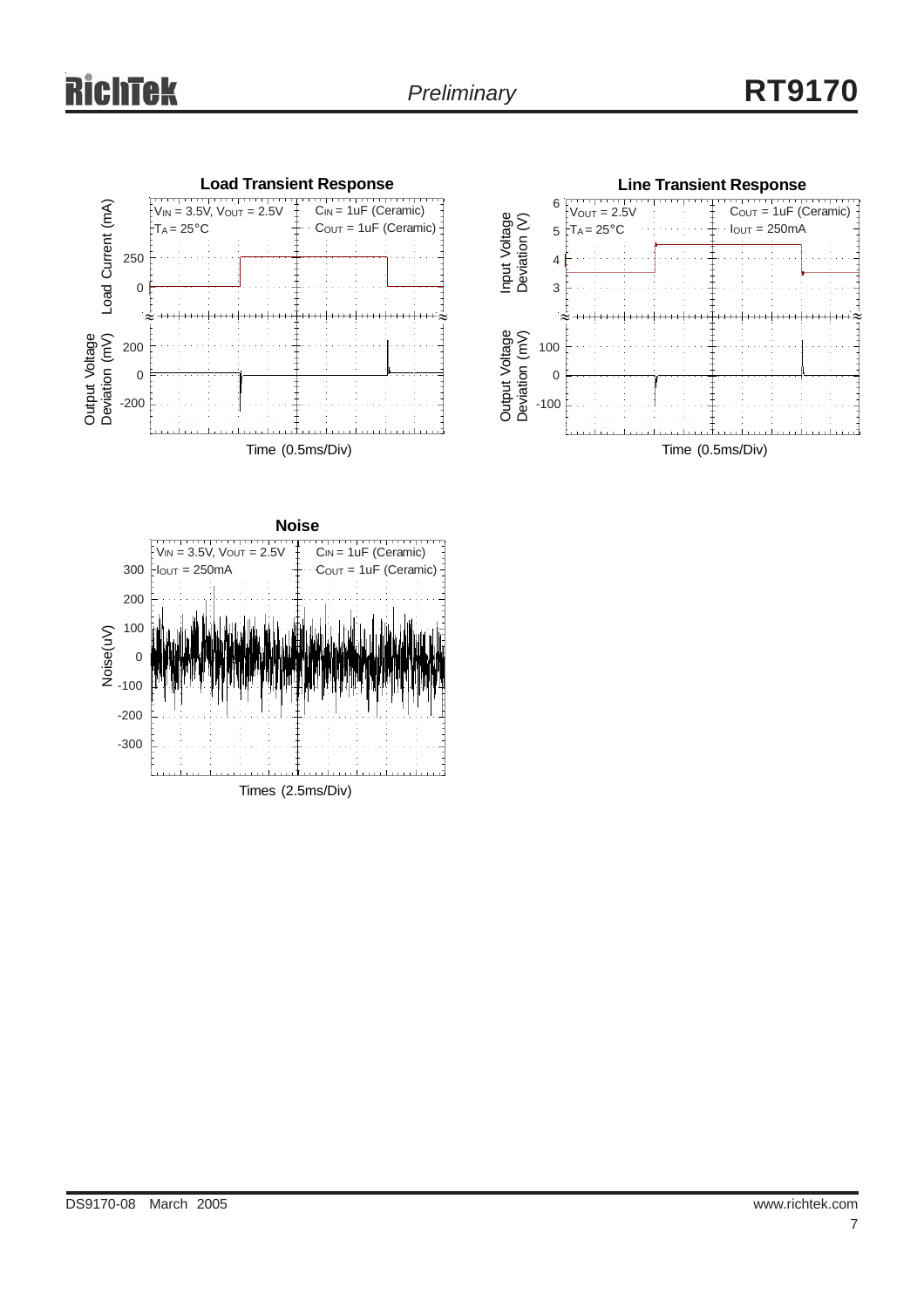# ichtek





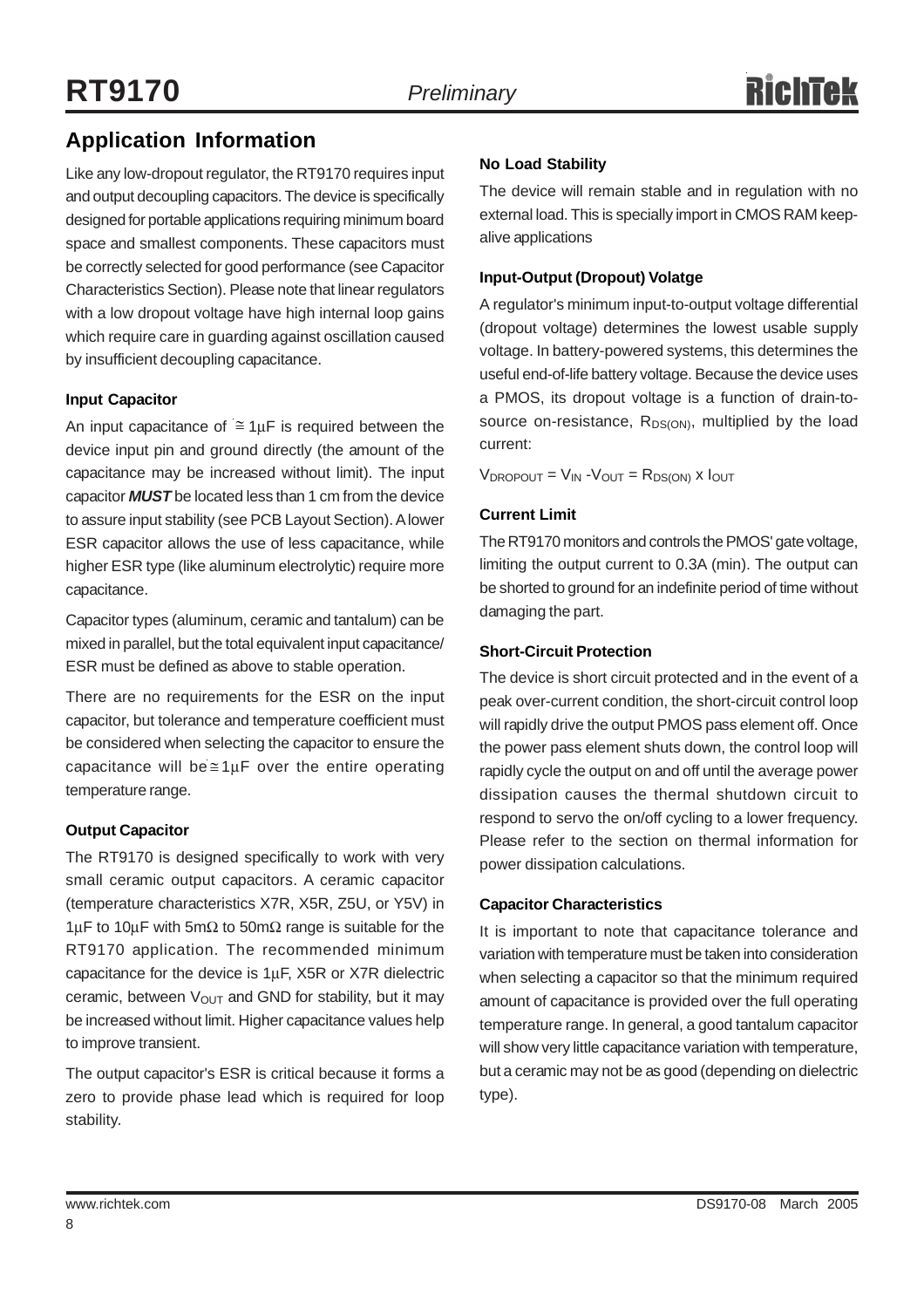## **Application Information**

Like any low-dropout regulator, the RT9170 requires input and output decoupling capacitors. The device is specifically designed for portable applications requiring minimum board space and smallest components. These capacitors must be correctly selected for good performance (see Capacitor Characteristics Section). Please note that linear regulators with a low dropout voltage have high internal loop gains which require care in guarding against oscillation caused by insufficient decoupling capacitance.

#### **Input Capacitor**

An input capacitance of  $\cong$  1µF is required between the device input pin and ground directly (the amount of the capacitance may be increased without limit). The input capacitor *MUST* be located less than 1 cm from the device to assure input stability (see PCB Layout Section). A lower ESR capacitor allows the use of less capacitance, while higher ESR type (like aluminum electrolytic) require more capacitance.

Capacitor types (aluminum, ceramic and tantalum) can be mixed in parallel, but the total equivalent input capacitance/ ESR must be defined as above to stable operation.

There are no requirements for the ESR on the input capacitor, but tolerance and temperature coefficient must be considered when selecting the capacitor to ensure the capacitance will be $\cong 1 \mu$ F over the entire operating temperature range.

#### **Output Capacitor**

The RT9170 is designed specifically to work with very small ceramic output capacitors. A ceramic capacitor (temperature characteristics X7R, X5R, Z5U, or Y5V) in 1µF to 10µF with 5mΩ to 50mΩ range is suitable for the RT9170 application. The recommended minimum capacitance for the device is 1µF, X5R or X7R dielectric ceramic, between  $V_{\text{OUT}}$  and GND for stability, but it may be increased without limit. Higher capacitance values help to improve transient.

The output capacitor's ESR is critical because it forms a zero to provide phase lead which is required for loop stability.

#### **No Load Stability**

The device will remain stable and in regulation with no external load. This is specially import in CMOS RAM keepalive applications

#### **Input-Output (Dropout) Volatge**

A regulator's minimum input-to-output voltage differential (dropout voltage) determines the lowest usable supply voltage. In battery-powered systems, this determines the useful end-of-life battery voltage. Because the device uses a PMOS, its dropout voltage is a function of drain-tosource on-resistance,  $R_{DS(ON)}$ , multiplied by the load current:

 $V_{\text{DROPOUT}} = V_{\text{IN}} - V_{\text{OUT}} = R_{\text{DS(ON)}}$  x  $I_{\text{OUT}}$ 

#### **Current Limit**

The RT9170 monitors and controls the PMOS' gate voltage, limiting the output current to 0.3A (min). The output can be shorted to ground for an indefinite period of time without damaging the part.

#### **Short-Circuit Protection**

The device is short circuit protected and in the event of a peak over-current condition, the short-circuit control loop will rapidly drive the output PMOS pass element off. Once the power pass element shuts down, the control loop will rapidly cycle the output on and off until the average power dissipation causes the thermal shutdown circuit to respond to servo the on/off cycling to a lower frequency. Please refer to the section on thermal information for power dissipation calculations.

#### **Capacitor Characteristics**

It is important to note that capacitance tolerance and variation with temperature must be taken into consideration when selecting a capacitor so that the minimum required amount of capacitance is provided over the full operating temperature range. In general, a good tantalum capacitor will show very little capacitance variation with temperature, but a ceramic may not be as good (depending on dielectric type).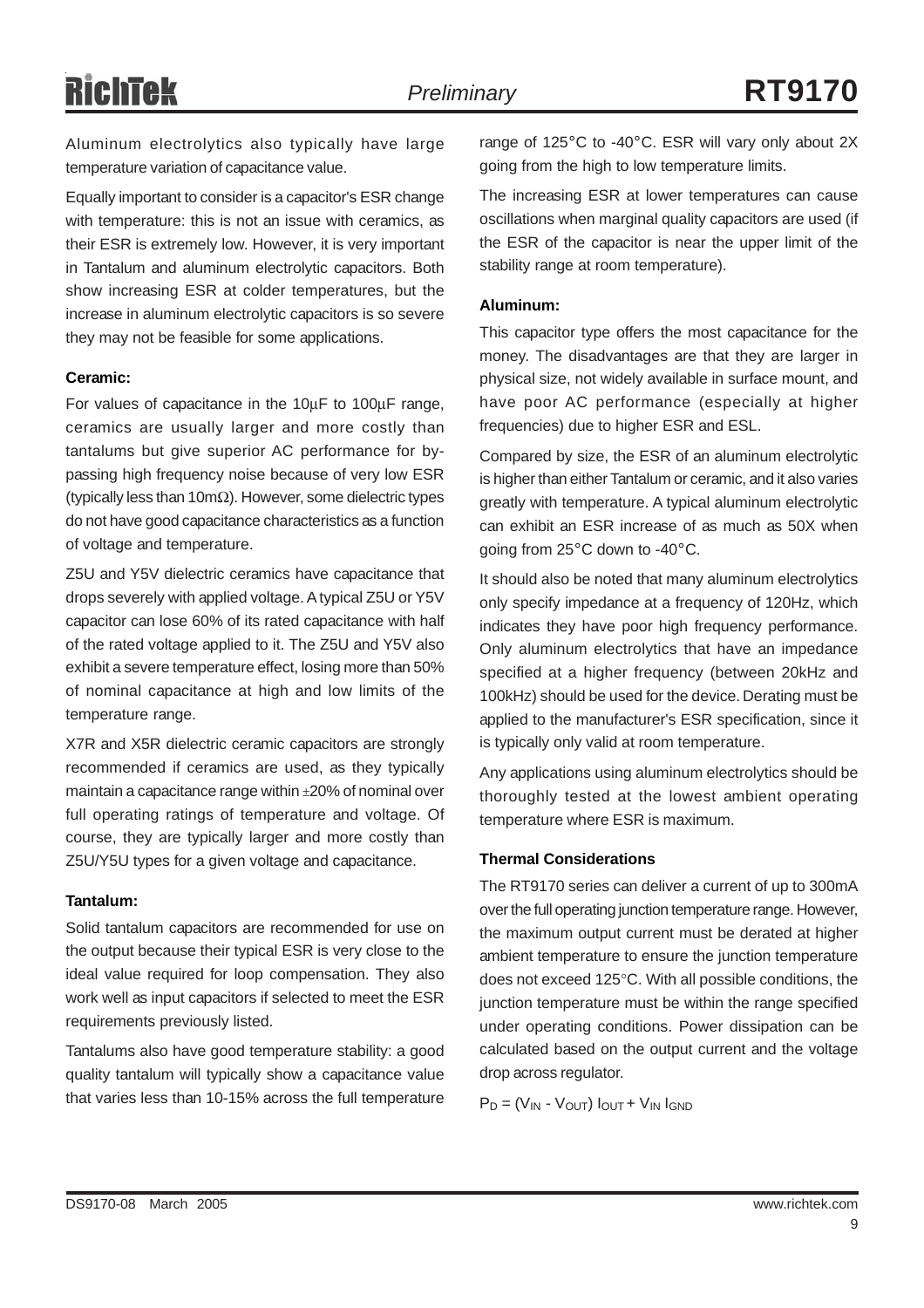Aluminum electrolytics also typically have large temperature variation of capacitance value.

Equally important to consider is a capacitor's ESR change with temperature: this is not an issue with ceramics, as their ESR is extremely low. However, it is very important in Tantalum and aluminum electrolytic capacitors. Both show increasing ESR at colder temperatures, but the increase in aluminum electrolytic capacitors is so severe they may not be feasible for some applications.

#### **Ceramic:**

For values of capacitance in the 10µF to 100µF range, ceramics are usually larger and more costly than tantalums but give superior AC performance for bypassing high frequency noise because of very low ESR (typically less than 10mΩ). However, some dielectric types do not have good capacitance characteristics as a function of voltage and temperature.

Z5U and Y5V dielectric ceramics have capacitance that drops severely with applied voltage. A typical Z5U or Y5V capacitor can lose 60% of its rated capacitance with half of the rated voltage applied to it. The Z5U and Y5V also exhibit a severe temperature effect, losing more than 50% of nominal capacitance at high and low limits of the temperature range.

X7R and X5R dielectric ceramic capacitors are strongly recommended if ceramics are used, as they typically maintain a capacitance range within ±20% of nominal over full operating ratings of temperature and voltage. Of course, they are typically larger and more costly than Z5U/Y5U types for a given voltage and capacitance.

#### **Tantalum:**

Solid tantalum capacitors are recommended for use on the output because their typical ESR is very close to the ideal value required for loop compensation. They also work well as input capacitors if selected to meet the ESR requirements previously listed.

Tantalums also have good temperature stability: a good quality tantalum will typically show a capacitance value that varies less than 10-15% across the full temperature

range of 125°C to -40°C. ESR will vary only about 2X going from the high to low temperature limits.

The increasing ESR at lower temperatures can cause oscillations when marginal quality capacitors are used (if the ESR of the capacitor is near the upper limit of the stability range at room temperature).

#### **Aluminum:**

This capacitor type offers the most capacitance for the money. The disadvantages are that they are larger in physical size, not widely available in surface mount, and have poor AC performance (especially at higher frequencies) due to higher ESR and ESL.

Compared by size, the ESR of an aluminum electrolytic is higher than either Tantalum or ceramic, and it also varies greatly with temperature. A typical aluminum electrolytic can exhibit an ESR increase of as much as 50X when going from 25°C down to -40°C.

It should also be noted that many aluminum electrolytics only specify impedance at a frequency of 120Hz, which indicates they have poor high frequency performance. Only aluminum electrolytics that have an impedance specified at a higher frequency (between 20kHz and 100kHz) should be used for the device. Derating must be applied to the manufacturer's ESR specification, since it is typically only valid at room temperature.

Any applications using aluminum electrolytics should be thoroughly tested at the lowest ambient operating temperature where ESR is maximum.

#### **Thermal Considerations**

The RT9170 series can deliver a current of up to 300mA over the full operating junction temperature range. However, the maximum output current must be derated at higher ambient temperature to ensure the junction temperature does not exceed 125°C. With all possible conditions, the junction temperature must be within the range specified under operating conditions. Power dissipation can be calculated based on the output current and the voltage drop across regulator.

 $P_D = (V_{IN} - V_{OUT}) I_{OUT} + V_{IN} I_{GND}$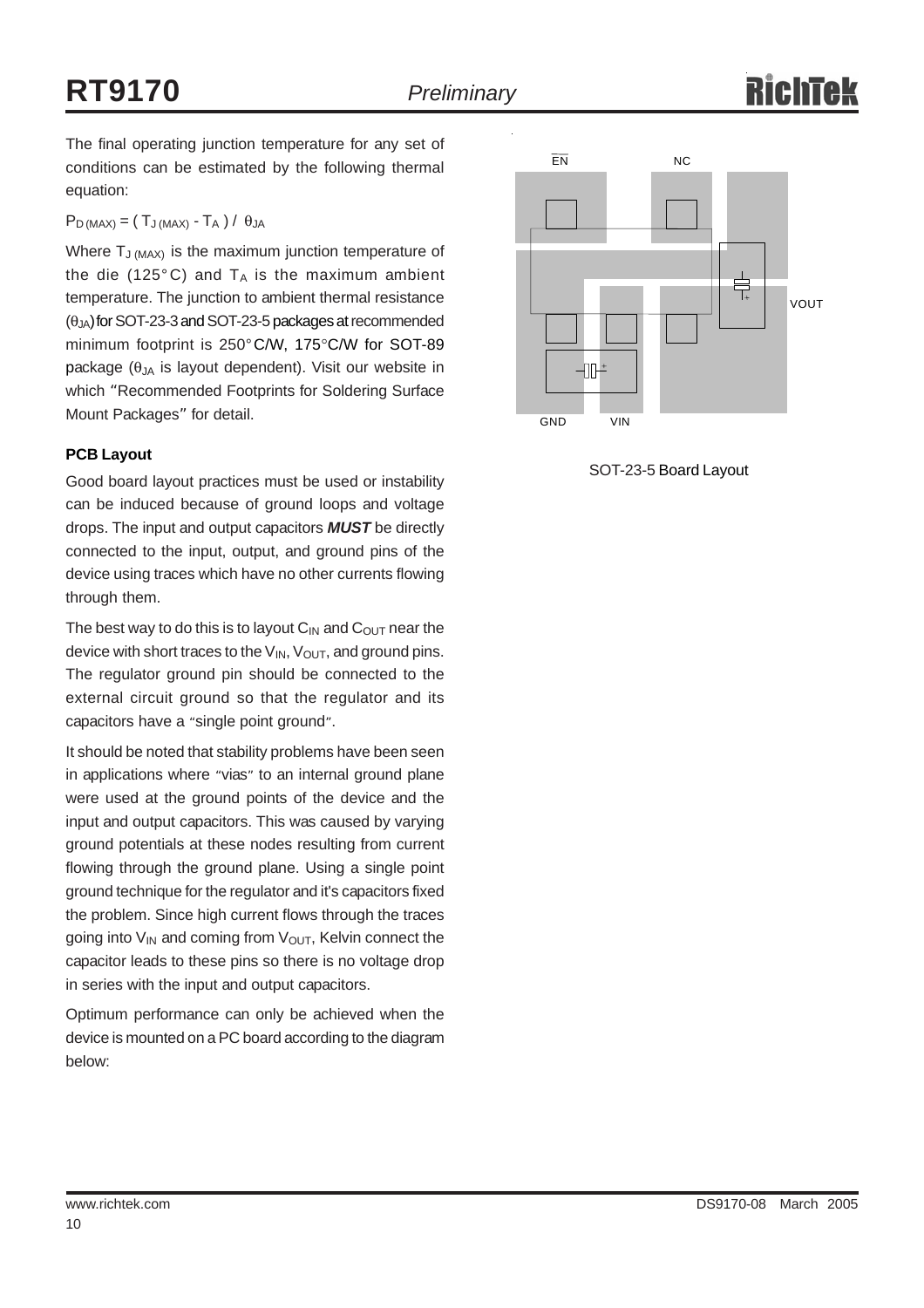The final operating junction temperature for any set of conditions can be estimated by the following thermal equation:

 $P_D$  (MAX) = (TJ (MAX) - T<sub>A</sub>) /  $\theta_{JA}$ 

Where  $T_{J (MAX)}$  is the maximum junction temperature of the die (125 $^{\circ}$ C) and T<sub>A</sub> is the maximum ambient temperature. The junction to ambient thermal resistance  $(\theta_{JA})$  for SOT-23-3 and SOT-23-5 packages at recommended minimum footprint is 250°C/W, 175°C/W for SOT-89 package  $(\theta)$ <sub>A</sub> is layout dependent). Visit our website in which "Recommended Footprints for Soldering Surface Mount Packages" for detail.

#### **PCB Layout**

Good board layout practices must be used or instability can be induced because of ground loops and voltage drops. The input and output capacitors *MUST* be directly connected to the input, output, and ground pins of the device using traces which have no other currents flowing through them.

The best way to do this is to layout  $C_{IN}$  and  $C_{OUT}$  near the device with short traces to the  $V_{IN}$ ,  $V_{OUT}$ , and ground pins. The regulator ground pin should be connected to the external circuit ground so that the regulator and its capacitors have a "single point ground".

It should be noted that stability problems have been seen in applications where "vias" to an internal ground plane were used at the ground points of the device and the input and output capacitors. This was caused by varying ground potentials at these nodes resulting from current flowing through the ground plane. Using a single point ground technique for the regulator and it's capacitors fixed the problem. Since high current flows through the traces going into  $V_{IN}$  and coming from  $V_{OUT}$ , Kelvin connect the capacitor leads to these pins so there is no voltage drop in series with the input and output capacitors.

Optimum performance can only be achieved when the device is mounted on a PC board according to the diagram below:



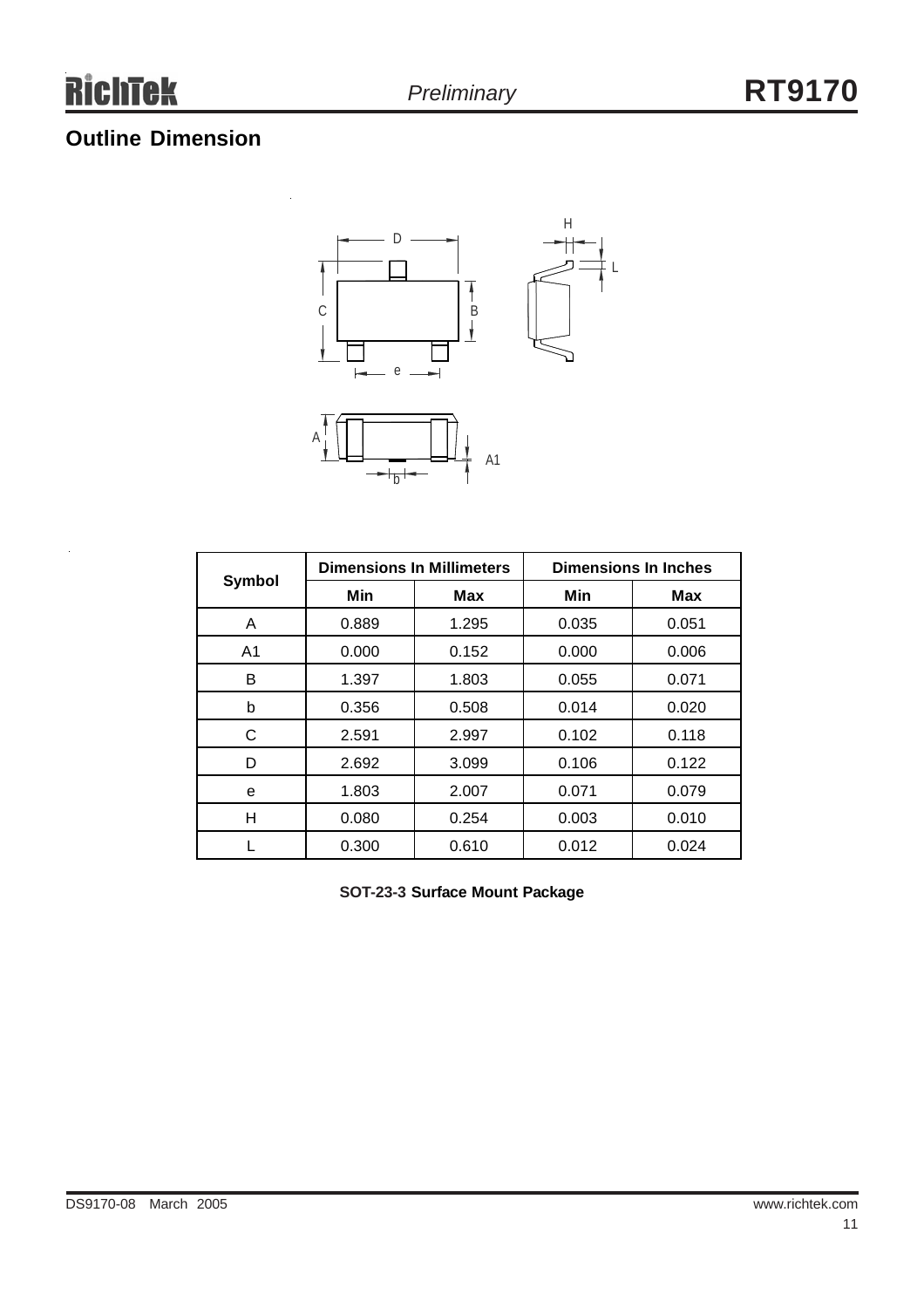## **Outline Dimension**

 $\ddot{\phantom{a}}$ 



| <b>Symbol</b>  |       | <b>Dimensions In Millimeters</b> | <b>Dimensions In Inches</b> |            |  |
|----------------|-------|----------------------------------|-----------------------------|------------|--|
|                | Min   | Max                              | Min                         | <b>Max</b> |  |
| A              | 0.889 | 1.295                            | 0.035                       | 0.051      |  |
| A <sub>1</sub> | 0.000 | 0.152                            | 0.000                       | 0.006      |  |
| в              | 1.397 | 1.803                            | 0.055                       | 0.071      |  |
| b              | 0.356 | 0.508                            | 0.014                       | 0.020      |  |
| С              | 2.591 | 2.997                            | 0.102                       | 0.118      |  |
| D              | 2.692 | 3.099                            | 0.106                       | 0.122      |  |
| е              | 1.803 | 2.007                            | 0.071                       | 0.079      |  |
| Н              | 0.080 | 0.254                            | 0.003                       | 0.010      |  |
|                | 0.300 | 0.610                            | 0.012                       | 0.024      |  |

**SOT-23-3 Surface Mount Package**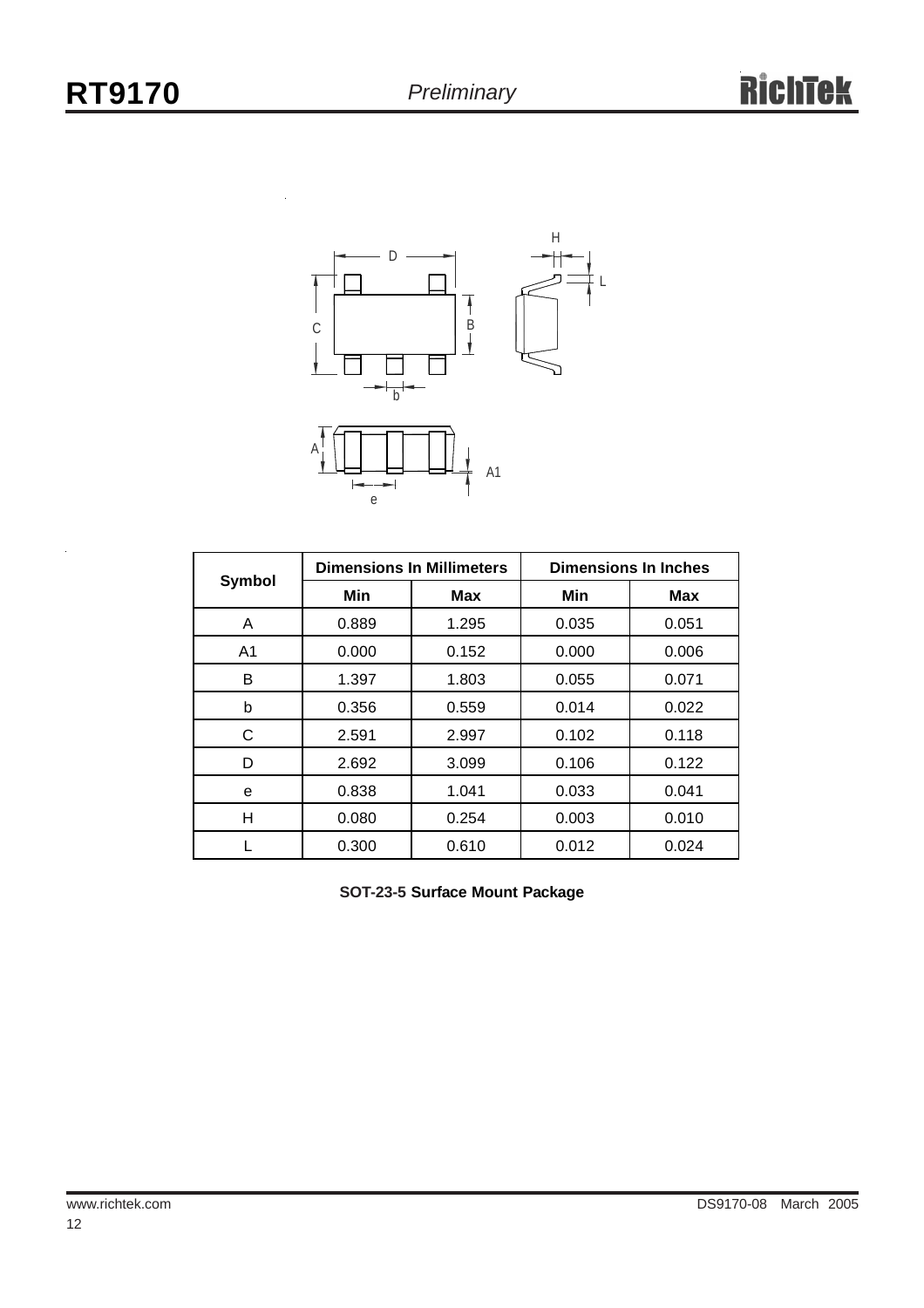

|                |       | <b>Dimensions In Millimeters</b> | <b>Dimensions In Inches</b> |            |  |
|----------------|-------|----------------------------------|-----------------------------|------------|--|
| <b>Symbol</b>  | Min   | <b>Max</b>                       | Min                         | <b>Max</b> |  |
| A              | 0.889 | 1.295                            | 0.035                       | 0.051      |  |
| A <sub>1</sub> | 0.000 | 0.152                            | 0.000                       | 0.006      |  |
| B              | 1.397 | 1.803                            | 0.055                       | 0.071      |  |
| b              | 0.356 | 0.559                            | 0.014                       | 0.022      |  |
| C              | 2.591 | 2.997                            | 0.102                       | 0.118      |  |
| D              | 2.692 | 3.099                            | 0.106                       | 0.122      |  |
| е              | 0.838 | 1.041                            | 0.033                       | 0.041      |  |
| н              | 0.080 | 0.254                            | 0.003                       | 0.010      |  |
|                | 0.300 | 0.610                            | 0.012                       | 0.024      |  |

**SOT-23-5 Surface Mount Package**